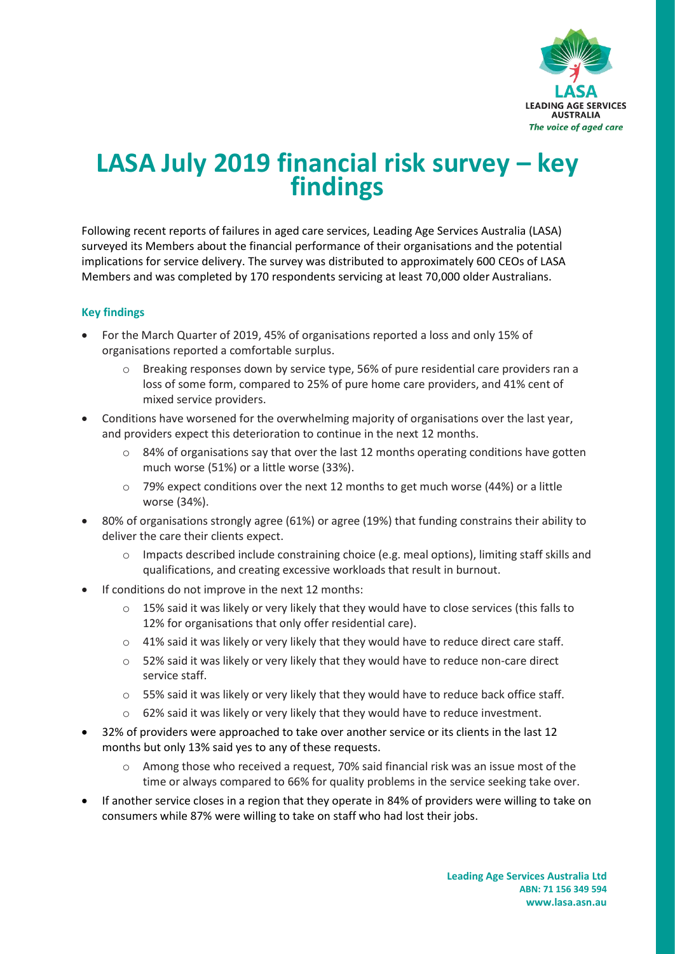

# **LASA July 2019 financial risk survey – key findings**

Following recent reports of failures in aged care services, Leading Age Services Australia (LASA) surveyed its Members about the financial performance of their organisations and the potential implications for service delivery. The survey was distributed to approximately 600 CEOs of LASA Members and was completed by 170 respondents servicing at least 70,000 older Australians.

## **Key findings**

- For the March Quarter of 2019, 45% of organisations reported a loss and only 15% of organisations reported a comfortable surplus.
	- o Breaking responses down by service type, 56% of pure residential care providers ran a loss of some form, compared to 25% of pure home care providers, and 41% cent of mixed service providers.
- Conditions have worsened for the overwhelming majority of organisations over the last year, and providers expect this deterioration to continue in the next 12 months.
	- $\circ$  84% of organisations say that over the last 12 months operating conditions have gotten much worse (51%) or a little worse (33%).
	- $\circ$  79% expect conditions over the next 12 months to get much worse (44%) or a little worse (34%).
- 80% of organisations strongly agree (61%) or agree (19%) that funding constrains their ability to deliver the care their clients expect.
	- o Impacts described include constraining choice (e.g. meal options), limiting staff skills and qualifications, and creating excessive workloads that result in burnout.
- If conditions do not improve in the next 12 months:
	- $\circ$  15% said it was likely or very likely that they would have to close services (this falls to 12% for organisations that only offer residential care).
	- o 41% said it was likely or very likely that they would have to reduce direct care staff.
	- o 52% said it was likely or very likely that they would have to reduce non-care direct service staff.
	- $\circ$  55% said it was likely or very likely that they would have to reduce back office staff.
	- o 62% said it was likely or very likely that they would have to reduce investment.
- 32% of providers were approached to take over another service or its clients in the last 12 months but only 13% said yes to any of these requests.
	- o Among those who received a request, 70% said financial risk was an issue most of the time or always compared to 66% for quality problems in the service seeking take over.
- If another service closes in a region that they operate in 84% of providers were willing to take on consumers while 87% were willing to take on staff who had lost their jobs.